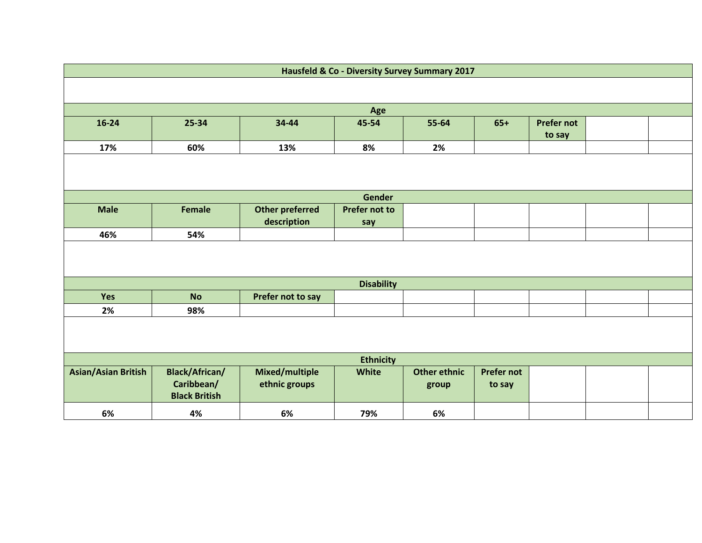| Hausfeld & Co - Diversity Survey Summary 2017                                      |                                    |                        |                      |                     |                   |        |  |  |  |
|------------------------------------------------------------------------------------|------------------------------------|------------------------|----------------------|---------------------|-------------------|--------|--|--|--|
|                                                                                    |                                    |                        |                      |                     |                   |        |  |  |  |
|                                                                                    |                                    |                        |                      |                     |                   |        |  |  |  |
| Age<br>$16 - 24$<br>45-54<br>55-64<br>25-34<br>34-44<br>$65+$<br><b>Prefer not</b> |                                    |                        |                      |                     |                   |        |  |  |  |
|                                                                                    |                                    |                        |                      |                     |                   | to say |  |  |  |
| 17%                                                                                | 60%                                | 13%                    | 8%                   | 2%                  |                   |        |  |  |  |
|                                                                                    |                                    |                        |                      |                     |                   |        |  |  |  |
| Gender                                                                             |                                    |                        |                      |                     |                   |        |  |  |  |
| <b>Male</b>                                                                        | <b>Female</b>                      | <b>Other preferred</b> | <b>Prefer not to</b> |                     |                   |        |  |  |  |
|                                                                                    |                                    | description            | say                  |                     |                   |        |  |  |  |
| 46%                                                                                | 54%                                |                        |                      |                     |                   |        |  |  |  |
|                                                                                    |                                    |                        |                      |                     |                   |        |  |  |  |
| <b>Disability</b>                                                                  |                                    |                        |                      |                     |                   |        |  |  |  |
| Yes                                                                                | <b>No</b>                          | Prefer not to say      |                      |                     |                   |        |  |  |  |
| 2%                                                                                 | 98%                                |                        |                      |                     |                   |        |  |  |  |
|                                                                                    |                                    |                        |                      |                     |                   |        |  |  |  |
| <b>Ethnicity</b>                                                                   |                                    |                        |                      |                     |                   |        |  |  |  |
| <b>Asian/Asian British</b>                                                         | <b>Black/African/</b>              | Mixed/multiple         | <b>White</b>         | <b>Other ethnic</b> | <b>Prefer not</b> |        |  |  |  |
|                                                                                    | Caribbean/<br><b>Black British</b> | ethnic groups          |                      | group               | to say            |        |  |  |  |
| 6%                                                                                 | 4%                                 | 6%                     | 79%                  | 6%                  |                   |        |  |  |  |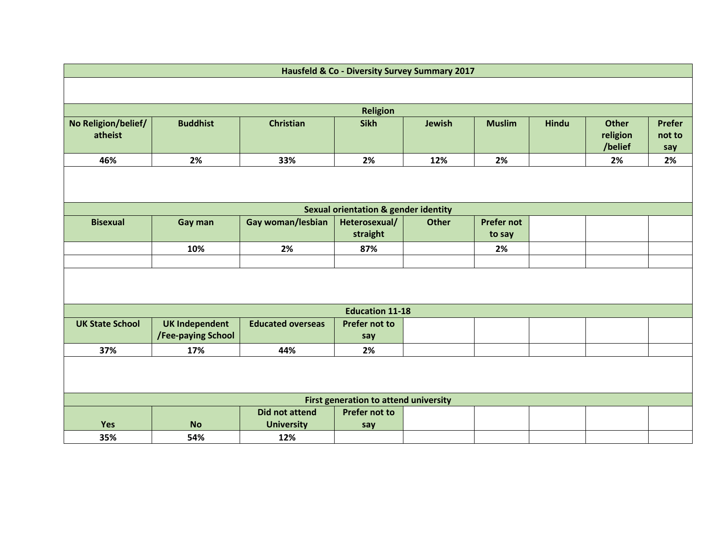| <b>Hausfeld &amp; Co - Diversity Survey Summary 2017</b> |                       |                          |                                                 |              |                   |              |                                     |                                |  |
|----------------------------------------------------------|-----------------------|--------------------------|-------------------------------------------------|--------------|-------------------|--------------|-------------------------------------|--------------------------------|--|
|                                                          |                       |                          |                                                 |              |                   |              |                                     |                                |  |
| <b>Religion</b>                                          |                       |                          |                                                 |              |                   |              |                                     |                                |  |
| No Religion/belief/<br>atheist                           | <b>Buddhist</b>       | <b>Christian</b>         | <b>Sikh</b>                                     | Jewish       | <b>Muslim</b>     | <b>Hindu</b> | <b>Other</b><br>religion<br>/belief | <b>Prefer</b><br>not to<br>say |  |
| 46%                                                      | 2%                    | 33%                      | 2%                                              | 12%          | 2%                |              | 2%                                  | 2%                             |  |
|                                                          |                       |                          |                                                 |              |                   |              |                                     |                                |  |
|                                                          |                       |                          | <b>Sexual orientation &amp; gender identity</b> |              |                   |              |                                     |                                |  |
| <b>Bisexual</b>                                          | Gay man               | Gay woman/lesbian        | Heterosexual/                                   | <b>Other</b> | <b>Prefer not</b> |              |                                     |                                |  |
|                                                          |                       |                          | straight                                        |              | to say            |              |                                     |                                |  |
|                                                          | 10%                   | 2%                       | 87%                                             |              | 2%                |              |                                     |                                |  |
|                                                          |                       |                          |                                                 |              |                   |              |                                     |                                |  |
|                                                          |                       |                          |                                                 |              |                   |              |                                     |                                |  |
| <b>Education 11-18</b>                                   |                       |                          |                                                 |              |                   |              |                                     |                                |  |
| <b>UK State School</b>                                   | <b>UK Independent</b> | <b>Educated overseas</b> | <b>Prefer not to</b>                            |              |                   |              |                                     |                                |  |
|                                                          | /Fee-paying School    |                          | say                                             |              |                   |              |                                     |                                |  |
| 37%                                                      | 17%                   | 44%                      | 2%                                              |              |                   |              |                                     |                                |  |
|                                                          |                       |                          |                                                 |              |                   |              |                                     |                                |  |
| First generation to attend university                    |                       |                          |                                                 |              |                   |              |                                     |                                |  |
|                                                          |                       | <b>Did not attend</b>    | <b>Prefer not to</b>                            |              |                   |              |                                     |                                |  |
| Yes                                                      | <b>No</b>             | <b>University</b>        | say                                             |              |                   |              |                                     |                                |  |
| 35%                                                      | 54%                   | 12%                      |                                                 |              |                   |              |                                     |                                |  |